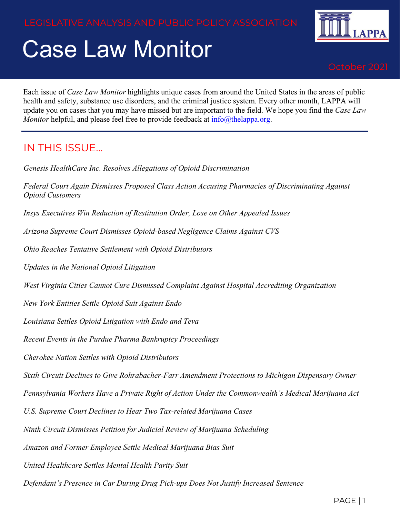# Case Law Monitor



Each issue of *Case Law Monitor* highlights unique cases from around the United States in the areas of public health and safety, substance use disorders, and the criminal justice system. Every other month, LAPPA will update you on cases that you may have missed but are important to the field. We hope you find the *Case Law Monitor* helpful, and please feel free to provide feedback at [info@thelappa.org.](mailto:info@thelappa.org)

#### IN THIS ISSUE…

*Genesis HealthCare Inc. Resolves Allegations of Opioid Discrimination* 

*Federal Court Again Dismisses Proposed Class Action Accusing Pharmacies of Discriminating Against Opioid Customers*

*Insys Executives Win Reduction of Restitution Order, Lose on Other Appealed Issues*

*Arizona Supreme Court Dismisses Opioid-based Negligence Claims Against CVS*

*Ohio Reaches Tentative Settlement with Opioid Distributors*

*Updates in the National Opioid Litigation*

*West Virginia Cities Cannot Cure Dismissed Complaint Against Hospital Accrediting Organization*

*New York Entities Settle Opioid Suit Against Endo*

*Louisiana Settles Opioid Litigation with Endo and Teva*

*Recent Events in the Purdue Pharma Bankruptcy Proceedings*

*Cherokee Nation Settles with Opioid Distributors*

*Sixth Circuit Declines to Give Rohrabacher-Farr Amendment Protections to Michigan Dispensary Owner*

*Pennsylvania Workers Have a Private Right of Action Under the Commonwealth's Medical Marijuana Act*

*U.S. Supreme Court Declines to Hear Two Tax-related Marijuana Cases*

*Ninth Circuit Dismisses Petition for Judicial Review of Marijuana Scheduling*

*Amazon and Former Employee Settle Medical Marijuana Bias Suit*

*United Healthcare Settles Mental Health Parity Suit*

*Defendant's Presence in Car During Drug Pick-ups Does Not Justify Increased Sentence*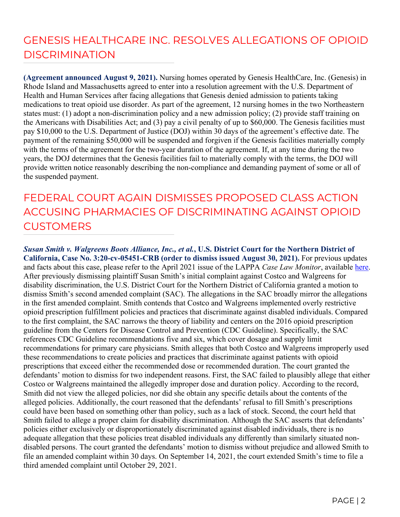# GENESIS HEALTHCARE INC. RESOLVES ALLEGATIONS OF OPIOID DISCRIMINATION

**(Agreement announced August 9, 2021).** Nursing homes operated by Genesis HealthCare, Inc. (Genesis) in Rhode Island and Massachusetts agreed to enter into a resolution agreement with the U.S. Department of Health and Human Services after facing allegations that Genesis denied admission to patients taking medications to treat opioid use disorder. As part of the agreement, 12 nursing homes in the two Northeastern states must: (1) adopt a non-discrimination policy and a new admission policy; (2) provide staff training on the Americans with Disabilities Act; and (3) pay a civil penalty of up to \$60,000. The Genesis facilities must pay \$10,000 to the U.S. Department of Justice (DOJ) within 30 days of the agreement's effective date. The payment of the remaining \$50,000 will be suspended and forgiven if the Genesis facilities materially comply with the terms of the agreement for the two-year duration of the agreement. If, at any time during the two years, the DOJ determines that the Genesis facilities fail to materially comply with the terms, the DOJ will provide written notice reasonably describing the non-compliance and demanding payment of some or all of the suspended payment.

# FEDERAL COURT AGAIN DISMISSES PROPOSED CLASS ACTION ACCUSING PHARMACIES OF DISCRIMINATING AGAINST OPIOID **CUSTOMERS**

*Susan Smith v. Walgreens Boots Alliance, Inc., et al.***, U.S. District Court for the Northern District of California, Case No. 3:20-cv-05451-CRB (order to dismiss issued August 30, 2021).** For previous updates and facts about this case, please refer to the April 2021 issue of the LAPPA *Case Law Monitor*, available [here.](http://legislativeanalysis.org/wp-content/uploads/2021/04/April-2021-Case-Law-Monitor-FINAL.pdf) After previously dismissing plaintiff Susan Smith's initial complaint against Costco and Walgreens for disability discrimination, the U.S. District Court for the Northern District of California granted a motion to dismiss Smith's second amended complaint (SAC). The allegations in the SAC broadly mirror the allegations in the first amended complaint. Smith contends that Costco and Walgreens implemented overly restrictive opioid prescription fulfillment policies and practices that discriminate against disabled individuals. Compared to the first complaint, the SAC narrows the theory of liability and centers on the 2016 opioid prescription guideline from the Centers for Disease Control and Prevention (CDC Guideline). Specifically, the SAC references CDC Guideline recommendations five and six, which cover dosage and supply limit recommendations for primary care physicians. Smith alleges that both Costco and Walgreens improperly used these recommendations to create policies and practices that discriminate against patients with opioid prescriptions that exceed either the recommended dose or recommended duration. The court granted the defendants' motion to dismiss for two independent reasons. First, the SAC failed to plausibly allege that either Costco or Walgreens maintained the allegedly improper dose and duration policy. According to the record, Smith did not view the alleged policies, nor did she obtain any specific details about the contents of the alleged policies. Additionally, the court reasoned that the defendants' refusal to fill Smith's prescriptions could have been based on something other than policy, such as a lack of stock. Second, the court held that Smith failed to allege a proper claim for disability discrimination. Although the SAC asserts that defendants' policies either exclusively or disproportionately discriminated against disabled individuals, there is no adequate allegation that these policies treat disabled individuals any differently than similarly situated nondisabled persons. The court granted the defendants' motion to dismiss without prejudice and allowed Smith to file an amended complaint within 30 days. On September 14, 2021, the court extended Smith's time to file a third amended complaint until October 29, 2021.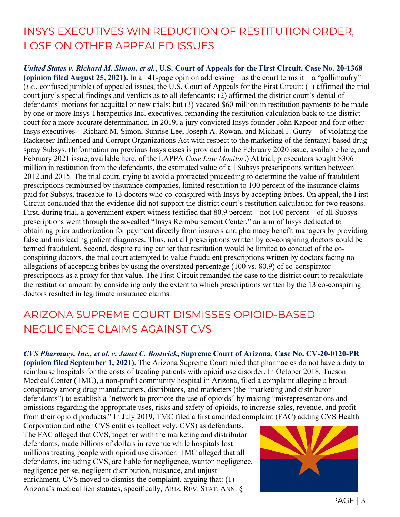#### INSYS EXECUTIVES WIN REDUCTION OF RESTITUTION ORDER, LOSE ON OTHER APPEALED ISSUES

*United States v. Richard M. Simon, et al.***, U.S. Court of Appeals for the First Circuit, Case No. 20-1368 (opinion filed August 25, 2021).** In a 141-page opinion addressing—as the court terms it—a "gallimaufry" (*i.e.*, confused jumble) of appealed issues, the U.S. Court of Appeals for the First Circuit: (1) affirmed the trial court jury's special findings and verdicts as to all defendants; (2) affirmed the district court's denial of defendants' motions for acquittal or new trials; but (3) vacated \$60 million in restitution payments to be made by one or more Insys Therapeutics Inc. executives, remanding the restitution calculation back to the district court for a more accurate determination. In 2019, a jury convicted Insys founder John Kapoor and four other Insys executives—Richard M. Simon, Sunrise Lee, Joseph A. Rowan, and Michael J. Gurry—of violating the Racketeer Influenced and Corrupt Organizations Act with respect to the marketing of the fentanyl-based drug spray Subsys. (Information on previous Insys cases is provided in the February 2020 issue, available [here,](http://legislativeanalysis.org/wp-content/uploads/2020/02/LAPPA-Case-Law-Monitor-Volume-2-Issue-1-1.pdf) and February 2021 issue, available [here,](http://legislativeanalysis.org/wp-content/uploads/2021/02/February-2021-Case-Law-Monitor-FINAL-2.pdf) of the LAPPA *Case Law Monitor*.) At trial, prosecutors sought \$306 million in restitution from the defendants, the estimated value of all Subsys prescriptions written between 2012 and 2015. The trial court, trying to avoid a protracted proceeding to determine the value of fraudulent prescriptions reimbursed by insurance companies, limited restitution to 100 percent of the insurance claims paid for Subsys, traceable to 13 doctors who co-conspired with Insys by accepting bribes. On appeal, the First Circuit concluded that the evidence did not support the district court's restitution calculation for two reasons. First, during trial, a government expert witness testified that 80.9 percent—not 100 percent—of all Subsys prescriptions went through the so-called "Insys Reimbursement Center," an arm of Insys dedicated to obtaining prior authorization for payment directly from insurers and pharmacy benefit managers by providing false and misleading patient diagnoses. Thus, not all prescriptions written by co-conspiring doctors could be termed fraudulent. Second, despite ruling earlier that restitution would be limited to conduct of the coconspiring doctors, the trial court attempted to value fraudulent prescriptions written by doctors facing no allegations of accepting bribes by using the overstated percentage (100 vs. 80.9) of co-conspirator prescriptions as a proxy for that value. The First Circuit remanded the case to the district court to recalculate the restitution amount by considering only the extent to which prescriptions written by the 13 co-conspiring doctors resulted in legitimate insurance claims.

#### ARIZONA SUPREME COURT DISMISSES OPIOID-BASED NEGLIGENCE CLAIMS AGAINST CVS

*CVS Pharmacy, Inc., et al. v. Janet C. Bostwick***, Supreme Court of Arizona, Case No. CV-20-0120-PR** 

**(opinion filed September 1, 2021).** The Arizona Supreme Court ruled that pharmacies do not have a duty to reimburse hospitals for the costs of treating patients with opioid use disorder. In October 2018, Tucson Medical Center (TMC), a non-profit community hospital in Arizona, filed a complaint alleging a broad conspiracy among drug manufacturers, distributors, and marketers (the "marketing and distributor defendants") to establish a "network to promote the use of opioids" by making "misrepresentations and omissions regarding the appropriate uses, risks and safety of opioids, to increase sales, revenue, and profit from their opioid products." In July 2019, TMC filed a first amended complaint (FAC) adding CVS Health

Corporation and other CVS entities (collectively, CVS) as defendants. The FAC alleged that CVS, together with the marketing and distributor defendants, made billions of dollars in revenue while hospitals lost millions treating people with opioid use disorder. TMC alleged that all defendants, including CVS, are liable for negligence, wanton negligence, negligence per se, negligent distribution, nuisance, and unjust enrichment. CVS moved to dismiss the complaint, arguing that: (1) Arizona's medical lien statutes, specifically, ARIZ. REV. STAT. ANN. §

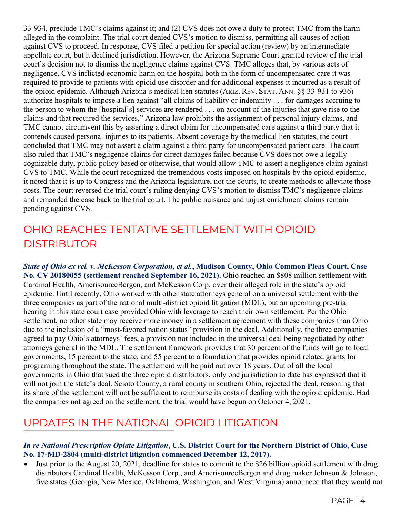33-934, preclude TMC's claims against it; and (2) CVS does not owe a duty to protect TMC from the harm alleged in the complaint. The trial court denied CVS's motion to dismiss, permitting all causes of action against CVS to proceed. In response, CVS filed a petition for special action (review) by an intermediate appellate court, but it declined jurisdiction. However, the Arizona Supreme Court granted review of the trial court's decision not to dismiss the negligence claims against CVS. TMC alleges that, by various acts of negligence, CVS inflicted economic harm on the hospital both in the form of uncompensated care it was required to provide to patients with opioid use disorder and for additional expenses it incurred as a result of the opioid epidemic. Although Arizona's medical lien statutes (ARIZ. REV. STAT. ANN. §§ 33-931 to 936) authorize hospitals to impose a lien against "all claims of liability or indemnity . . . for damages accruing to the person to whom the [hospital's] services are rendered . . . on account of the injuries that gave rise to the claims and that required the services," Arizona law prohibits the assignment of personal injury claims, and TMC cannot circumvent this by asserting a direct claim for uncompensated care against a third party that it contends caused personal injuries to its patients. Absent coverage by the medical lien statutes, the court concluded that TMC may not assert a claim against a third party for uncompensated patient care. The court also ruled that TMC's negligence claims for direct damages failed because CVS does not owe a legally cognizable duty, public policy based or otherwise, that would allow TMC to assert a negligence claim against CVS to TMC. While the court recognized the tremendous costs imposed on hospitals by the opioid epidemic, it noted that it is up to Congress and the Arizona legislature, not the courts, to create methods to alleviate those costs. The court reversed the trial court's ruling denying CVS's motion to dismiss TMC's negligence claims and remanded the case back to the trial court. The public nuisance and unjust enrichment claims remain pending against CVS.

#### OHIO REACHES TENTATIVE SETTLEMENT WITH OPIOID DISTRIBUTOR

*State of Ohio ex rel. v. McKesson Corporation, et al.***, Madison County, Ohio Common Pleas Court, Case No. CV 20180055 (settlement reached September 16, 2021).** Ohio reached an \$808 million settlement with Cardinal Health, AmerisourceBergen, and McKesson Corp. over their alleged role in the state's opioid epidemic. Until recently, Ohio worked with other state attorneys general on a universal settlement with the three companies as part of the national multi-district opioid litigation (MDL), but an upcoming pre-trial hearing in this state court case provided Ohio with leverage to reach their own settlement. Per the Ohio settlement, no other state may receive more money in a settlement agreement with these companies than Ohio due to the inclusion of a "most-favored nation status" provision in the deal. Additionally, the three companies agreed to pay Ohio's attorneys' fees, a provision not included in the universal deal being negotiated by other attorneys general in the MDL. The settlement framework provides that 30 percent of the funds will go to local governments, 15 percent to the state, and 55 percent to a foundation that provides opioid related grants for programing throughout the state. The settlement will be paid out over 18 years. Out of all the local governments in Ohio that sued the three opioid distributors, only one jurisdiction to date has expressed that it will not join the state's deal. Scioto County, a rural county in southern Ohio, rejected the deal, reasoning that its share of the settlement will not be sufficient to reimburse its costs of dealing with the opioid epidemic. Had the companies not agreed on the settlement, the trial would have begun on October 4, 2021.

#### UPDATES IN THE NATIONAL OPIOID LITIGATION

#### *In re National Prescription Opiate Litigation***, U.S. District Court for the Northern District of Ohio, Case No. 17-MD-2804 (multi-district litigation commenced December 12, 2017).**

• Just prior to the August 20, 2021, deadline for states to commit to the \$26 billion opioid settlement with drug distributors Cardinal Health, McKesson Corp., and AmerisourceBergen and drug maker Johnson & Johnson, five states (Georgia, New Mexico, Oklahoma, Washington, and West Virginia) announced that they would not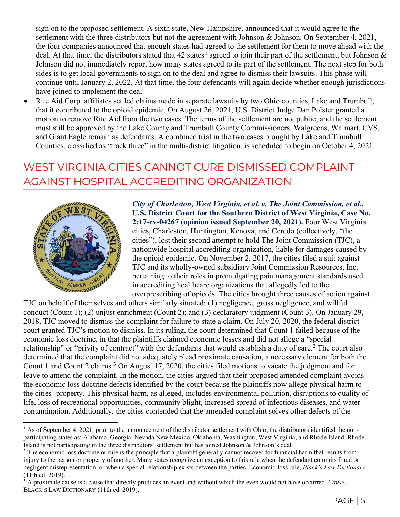sign on to the proposed settlement. A sixth state, New Hampshire, announced that it would agree to the settlement with the three distributors but not the agreement with Johnson & Johnson. On September 4, 2021, the four companies announced that enough states had agreed to the settlement for them to move ahead with the deal. At that time, the distributors stated that 42 states<sup>[1](#page-4-0)</sup> agreed to join their part of the settlement, but Johnson  $\&$ Johnson did not immediately report how many states agreed to its part of the settlement. The next step for both sides is to get local governments to sign on to the deal and agree to dismiss their lawsuits. This phase will continue until January 2, 2022. At that time, the four defendants will again decide whether enough jurisdictions have joined to implement the deal.

• Rite Aid Corp. affiliates settled claims made in separate lawsuits by two Ohio counties, Lake and Trumbull, that it contributed to the opioid epidemic. On August 26, 2021, U.S. District Judge Dan Polster granted a motion to remove Rite Aid from the two cases. The terms of the settlement are not public, and the settlement must still be approved by the Lake County and Trumbull County Commissioners. Walgreens, Walmart, CVS, and Giant Eagle remain as defendants. A combined trial in the two cases brought by Lake and Trumbull Counties, classified as "track three" in the multi-district litigation, is scheduled to begin on October 4, 2021.

#### WEST VIRGINIA CITIES CANNOT CURE DISMISSED COMPLAINT AGAINST HOSPITAL ACCREDITING ORGANIZATION



*City of Charleston, West Virginia, et al. v. The Joint Commission, et al.***, U.S. District Court for the Southern District of West Virginia, Case No. 2:17-cv-04267 (opinion issued September 20, 2021).** Four West Virginia cities, Charleston, Huntington, Kenova, and Ceredo (collectively, "the cities"), lost their second attempt to hold The Joint Commission (TJC), a nationwide hospital accrediting organization, liable for damages caused by the opioid epidemic. On November 2, 2017, the cities filed a suit against TJC and its wholly-owned subsidiary Joint Commission Resources, Inc. pertaining to their roles in promulgating pain management standards used in accrediting healthcare organizations that allegedly led to the overprescribing of opioids. The cities brought three causes of action against

TJC on behalf of themselves and others similarly situated: (1) negligence, gross negligence, and willful conduct (Count 1); (2) unjust enrichment (Count 2); and (3) declaratory judgment (Count 3). On January 29, 2018, TJC moved to dismiss the complaint for failure to state a claim. On July 20, 2020, the federal district court granted TJC's motion to dismiss. In its ruling, the court determined that Count 1 failed because of the economic loss doctrine, in that the plaintiffs claimed economic losses and did not allege a "special relationship" or "privity of contract" with the defendants that would establish a duty of care.<sup>[2](#page-4-1)</sup> The court also determined that the complaint did not adequately plead proximate causation, a necessary element for both the Count 1 and Count 2 claims.<sup>[3](#page-4-2)</sup> On August 17, 2020, the cities filed motions to vacate the judgment and for leave to amend the complaint. In the motion, the cities argued that their proposed amended complaint avoids the economic loss doctrine defects identified by the court because the plaintiffs now allege physical harm to the cities' property. This physical harm, as alleged, includes environmental pollution, disruptions to quality of life, loss of recreational opportunities, community blight, increased spread of infectious diseases, and water contamination. Additionally, the cities contended that the amended complaint solves other defects of the

<span id="page-4-0"></span> $<sup>1</sup>$  As of September 4, 2021, prior to the announcement of the distributor settlement with Ohio, the distributors identified the non-</sup> participating states as: Alabama, Georgia, Nevada New Mexico, Oklahoma, Washington, West Virginia, and Rhode Island. Rhode Island is not participating in the three distributors' settlement but has joined Johnson & Johnson's deal.<br><sup>2</sup> The economic loss doctrine or rule is the principle that a plaintiff generally cannot recover for financial ha

<span id="page-4-1"></span>injury to the person or property of another. Many states recognize an exception to this rule when the defendant commits fraud or negligent misrepresentation, or when a special relationship exists between the parties. Economic-loss rule, *Black's Law Dictionary* (11th ed. 2019).

<span id="page-4-2"></span><sup>3</sup> A proximate cause is a cause that directly produces an event and without which the even would not have occurred. *Cause*, BLACK'S LAW DICTIONARY (11th ed. 2019).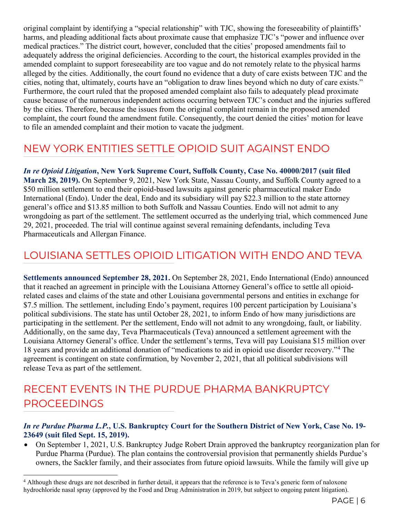original complaint by identifying a "special relationship" with TJC, showing the foreseeability of plaintiffs' harms, and pleading additional facts about proximate cause that emphasize TJC's "power and influence over medical practices." The district court, however, concluded that the cities' proposed amendments fail to adequately address the original deficiencies. According to the court, the historical examples provided in the amended complaint to support foreseeability are too vague and do not remotely relate to the physical harms alleged by the cities. Additionally, the court found no evidence that a duty of care exists between TJC and the cities, noting that, ultimately, courts have an "obligation to draw lines beyond which no duty of care exists." Furthermore, the court ruled that the proposed amended complaint also fails to adequately plead proximate cause because of the numerous independent actions occurring between TJC's conduct and the injuries suffered by the cities. Therefore, because the issues from the original complaint remain in the proposed amended complaint, the court found the amendment futile. Consequently, the court denied the cities' motion for leave to file an amended complaint and their motion to vacate the judgment.

#### NEW YORK ENTITIES SETTLE OPIOID SUIT AGAINST ENDO

*In re Opioid Litigation***, New York Supreme Court, Suffolk County, Case No. 40000/2017 (suit filed March 28, 2019).** On September 9, 2021, New York State, Nassau County, and Suffolk County agreed to a \$50 million settlement to end their opioid-based lawsuits against generic pharmaceutical maker Endo International (Endo). Under the deal, Endo and its subsidiary will pay \$22.3 million to the state attorney general's office and \$13.85 million to both Suffolk and Nassau Counties. Endo will not admit to any wrongdoing as part of the settlement. The settlement occurred as the underlying trial, which commenced June 29, 2021, proceeded. The trial will continue against several remaining defendants, including Teva Pharmaceuticals and Allergan Finance.

#### LOUISIANA SETTLES OPIOID LITIGATION WITH ENDO AND TEVA

**Settlements announced September 28, 2021.** On September 28, 2021, Endo International (Endo) announced that it reached an agreement in principle with the Louisiana Attorney General's office to settle all opioidrelated cases and claims of the state and other Louisiana governmental persons and entities in exchange for \$7.5 million. The settlement, including Endo's payment, requires 100 percent participation by Louisiana's political subdivisions. The state has until October 28, 2021, to inform Endo of how many jurisdictions are participating in the settlement. Per the settlement, Endo will not admit to any wrongdoing, fault, or liability. Additionally, on the same day, Teva Pharmaceuticals (Teva) announced a settlement agreement with the Louisiana Attorney General's office. Under the settlement's terms, Teva will pay Louisiana \$15 million over 18 years and provide an additional donation of "medications to aid in opioid use disorder recovery."[4](#page-5-0) The agreement is contingent on state confirmation, by November 2, 2021, that all political subdivisions will release Teva as part of the settlement.

#### RECENT EVENTS IN THE PURDUE PHARMA BANKRUPTCY PROCEEDINGS

#### *In re Purdue Pharma L.P.***, U.S. Bankruptcy Court for the Southern District of New York, Case No. 19- 23649 (suit filed Sept. 15, 2019).**

• On September 1, 2021, U.S. Bankruptcy Judge Robert Drain approved the bankruptcy reorganization plan for Purdue Pharma (Purdue). The plan contains the controversial provision that permanently shields Purdue's owners, the Sackler family, and their associates from future opioid lawsuits. While the family will give up

<span id="page-5-0"></span><sup>&</sup>lt;sup>4</sup> Although these drugs are not described in further detail, it appears that the reference is to Teva's generic form of naloxone hydrochloride nasal spray (approved by the Food and Drug Administration in 2019, but subject to ongoing patent litigation).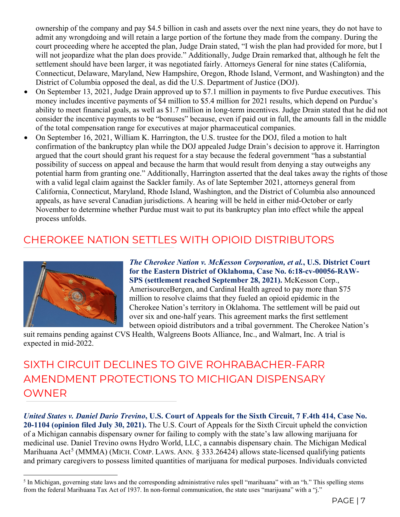ownership of the company and pay \$4.5 billion in cash and assets over the next nine years, they do not have to admit any wrongdoing and will retain a large portion of the fortune they made from the company. During the court proceeding where he accepted the plan, Judge Drain stated, "I wish the plan had provided for more, but I will not jeopardize what the plan does provide." Additionally, Judge Drain remarked that, although he felt the settlement should have been larger, it was negotiated fairly. Attorneys General for nine states (California, Connecticut, Delaware, Maryland, New Hampshire, Oregon, Rhode Island, Vermont, and Washington) and the District of Columbia opposed the deal, as did the U.S. Department of Justice (DOJ).

- On September 13, 2021, Judge Drain approved up to \$7.1 million in payments to five Purdue executives. This money includes incentive payments of \$4 million to \$5.4 million for 2021 results, which depend on Purdue's ability to meet financial goals, as well as \$1.7 million in long-term incentives. Judge Drain stated that he did not consider the incentive payments to be "bonuses" because, even if paid out in full, the amounts fall in the middle of the total compensation range for executives at major pharmaceutical companies.
- On September 16, 2021, William K. Harrington, the U.S. trustee for the DOJ, filed a motion to halt confirmation of the bankruptcy plan while the DOJ appealed Judge Drain's decision to approve it. Harrington argued that the court should grant his request for a stay because the federal government "has a substantial possibility of success on appeal and because the harm that would result from denying a stay outweighs any potential harm from granting one." Additionally, Harrington asserted that the deal takes away the rights of those with a valid legal claim against the Sackler family. As of late September 2021, attorneys general from California, Connecticut, Maryland, Rhode Island, Washington, and the District of Columbia also announced appeals, as have several Canadian jurisdictions. A hearing will be held in either mid-October or early November to determine whether Purdue must wait to put its bankruptcy plan into effect while the appeal process unfolds.

#### CHEROKEE NATION SETTLES WITH OPIOID DISTRIBUTORS



*The Cherokee Nation v. McKesson Corporation, et al.***, U.S. District Court for the Eastern District of Oklahoma, Case No. 6:18-cv-00056-RAW-SPS (settlement reached September 28, 2021).** McKesson Corp., AmerisourceBergen, and Cardinal Health agreed to pay more than \$75 million to resolve claims that they fueled an opioid epidemic in the Cherokee Nation's territory in Oklahoma. The settlement will be paid out over six and one-half years. This agreement marks the first settlement between opioid distributors and a tribal government. The Cherokee Nation's

suit remains pending against CVS Health, Walgreens Boots Alliance, Inc., and Walmart, Inc. A trial is expected in mid-2022.

SIXTH CIRCUIT DECLINES TO GIVE ROHRABACHER-FARR AMENDMENT PROTECTIONS TO MICHIGAN DISPENSARY OWNER

*United States v. Daniel Dario Trevino***, U.S. Court of Appeals for the Sixth Circuit, 7 F.4th 414, Case No. 20-1104 (opinion filed July 30, 2021).** The U.S. Court of Appeals for the Sixth Circuit upheld the conviction of a Michigan cannabis dispensary owner for failing to comply with the state's law allowing marijuana for medicinal use. Daniel Trevino owns Hydro World, LLC, a cannabis dispensary chain. The Michigan Medical Marihuana Act<sup>[5](#page-6-0)</sup> (MMMA) (MICH. COMP. LAWS. ANN. § 333.26424) allows state-licensed qualifying patients and primary caregivers to possess limited quantities of marijuana for medical purposes. Individuals convicted

<span id="page-6-0"></span> $<sup>5</sup>$  In Michigan, governing state laws and the corresponding administrative rules spell "marihuana" with an "h." This spelling stems</sup> from the federal Marihuana Tax Act of 1937. In non-formal communication, the state uses "marijuana" with a "j."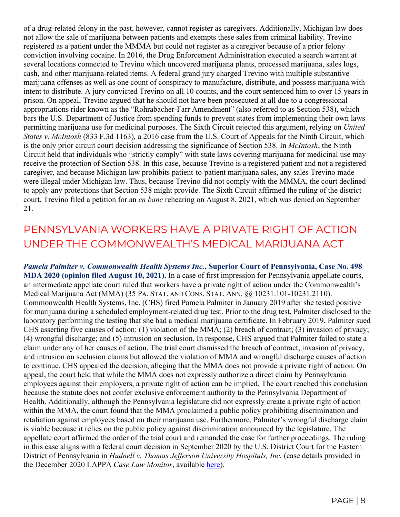of a drug-related felony in the past, however, cannot register as caregivers. Additionally, Michigan law does not allow the sale of marijuana between patients and exempts these sales from criminal liability. Trevino registered as a patient under the MMMA but could not register as a caregiver because of a prior felony conviction involving cocaine. In 2016, the Drug Enforcement Administration executed a search warrant at several locations connected to Trevino which uncovered marijuana plants, processed marijuana, sales logs, cash, and other marijuana-related items. A federal grand jury charged Trevino with multiple substantive marijuana offenses as well as one count of conspiracy to manufacture, distribute, and possess marijuana with intent to distribute. A jury convicted Trevino on all 10 counts, and the court sentenced him to over 15 years in prison. On appeal, Trevino argued that he should not have been prosecuted at all due to a congressional appropriations rider known as the "Rohrabacher-Farr Amendment" (also referred to as Section 538), which bars the U.S. Department of Justice from spending funds to prevent states from implementing their own laws permitting marijuana use for medicinal purposes. The Sixth Circuit rejected this argument, relying on *United States v. McIntosh* (833 F.3d 1163)*,* a 2016 case from the U.S. Court of Appeals for the Ninth Circuit, which is the only prior circuit court decision addressing the significance of Section 538. In *McIntosh*, the Ninth Circuit held that individuals who "strictly comply" with state laws covering marijuana for medicinal use may receive the protection of Section 538. In this case, because Trevino is a registered patient and not a registered caregiver, and because Michigan law prohibits patient-to-patient marijuana sales, any sales Trevino made were illegal under Michigan law. Thus, because Trevino did not comply with the MMMA, the court declined to apply any protections that Section 538 might provide. The Sixth Circuit affirmed the ruling of the district court. Trevino filed a petition for an *en banc* rehearing on August 8, 2021, which was denied on September 21.

#### PENNSYLVANIA WORKERS HAVE A PRIVATE RIGHT OF ACTION UNDER THE COMMONWEALTH'S MEDICAL MARIJUANA ACT

*Pamela Palmiter v. Commonwealth Health Systems Inc.***, Superior Court of Pennsylvania, Case No. 498 MDA 2020 (opinion filed August 10, 2021).** In a case of first impression for Pennsylvania appellate courts, an intermediate appellate court ruled that workers have a private right of action under the Commonwealth's Medical Marijuana Act (MMA) (35 PA. STAT. AND CONS. STAT. ANN. §§ 10231.101-10231.2110). Commonwealth Health Systems, Inc. (CHS) fired Pamela Palmiter in January 2019 after she tested positive for marijuana during a scheduled employment-related drug test. Prior to the drug test, Palmiter disclosed to the laboratory performing the testing that she had a medical marijuana certificate. In February 2019, Palmiter sued CHS asserting five causes of action: (1) violation of the MMA; (2) breach of contract; (3) invasion of privacy; (4) wrongful discharge; and (5) intrusion on seclusion. In response, CHS argued that Palmiter failed to state a claim under any of her causes of action. The trial court dismissed the breach of contract, invasion of privacy, and intrusion on seclusion claims but allowed the violation of MMA and wrongful discharge causes of action to continue. CHS appealed the decision, alleging that the MMA does not provide a private right of action. On appeal, the court held that while the MMA does not expressly authorize a direct claim by Pennsylvania employees against their employers, a private right of action can be implied. The court reached this conclusion because the statute does not confer exclusive enforcement authority to the Pennsylvania Department of Health. Additionally, although the Pennsylvania legislature did not expressly create a private right of action within the MMA, the court found that the MMA proclaimed a public policy prohibiting discrimination and retaliation against employees based on their marijuana use. Furthermore, Palmiter's wrongful discharge claim is viable because it relies on the public policy against discrimination announced by the legislature. The appellate court affirmed the order of the trial court and remanded the case for further proceedings. The ruling in this case aligns with a federal court decision in September 2020 by the U.S. District Court for the Eastern District of Pennsylvania in *Hudnell v. Thomas Jefferson University Hospitals, Inc.* (case details provided in the December 2020 LAPPA *Case Law Monitor*, available [here\)](http://legislativeanalysis.org/wp-content/uploads/2020/12/December-2020-Case-Law-Monitor.pdf).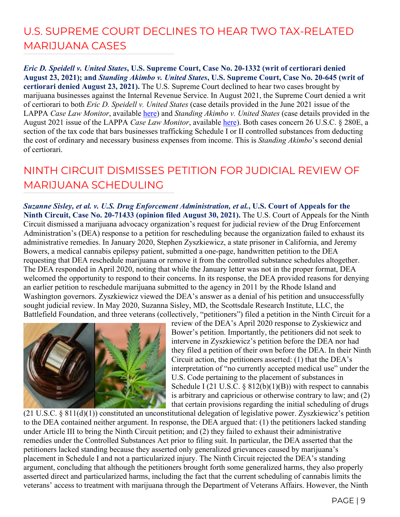# U.S. SUPREME COURT DECLINES TO HEAR TWO TAX-RELATED MARIJUANA CASES

*Eric D. Speidell v. United States***, U.S. Supreme Court, Case No. 20-1332 (writ of certiorari denied August 23, 2021); and** *Standing Akimbo v. United States***, U.S. Supreme Court, Case No. 20-645 (writ of certiorari denied August 23, 2021).** The U.S. Supreme Court declined to hear two cases brought by marijuana businesses against the Internal Revenue Service. In August 2021, the Supreme Court denied a writ of certiorari to both *Eric D. Speidell v. United States* (case details provided in the June 2021 issue of the LAPPA *Case Law Monitor*, available [here\)](http://legislativeanalysis.org/wp-content/uploads/2021/06/June-2021-Case-Law-Monitor-FINAL.pdf) and *Standing Akimbo v. United States* (case details provided in the August 2021 issue of the LAPPA *Case Law Monitor*, available [here\)](http://legislativeanalysis.org/wp-content/uploads/2021/06/June-2021-Case-Law-Monitor-FINAL.pdf). Both cases concern 26 U.S.C. § 280E, a section of the tax code that bars businesses trafficking Schedule I or II controlled substances from deducting the cost of ordinary and necessary business expenses from income. This is *Standing Akimbo*'s second denial of certiorari.

#### NINTH CIRCUIT DISMISSES PETITION FOR JUDICIAL REVIEW OF MARIJUANA SCHEDULING

*Suzanne Sisley, et al. v. U.S. Drug Enforcement Administration, et al.***, U.S. Court of Appeals for the Ninth Circuit, Case No. 20-71433 (opinion filed August 30, 2021).** The U.S. Court of Appeals for the Ninth Circuit dismissed a marijuana advocacy organization's request for judicial review of the Drug Enforcement Administration's (DEA) response to a petition for rescheduling because the organization failed to exhaust its administrative remedies. In January 2020, Stephen Zyszkiewicz, a state prisoner in California, and Jeremy Bowers, a medical cannabis epilepsy patient, submitted a one-page, handwritten petition to the DEA requesting that DEA reschedule marijuana or remove it from the controlled substance schedules altogether. The DEA responded in April 2020, noting that while the January letter was not in the proper format, DEA welcomed the opportunity to respond to their concerns. In its response, the DEA provided reasons for denying an earlier petition to reschedule marijuana submitted to the agency in 2011 by the Rhode Island and Washington governors. Zyszkiewicz viewed the DEA's answer as a denial of his petition and unsuccessfully sought judicial review. In May 2020, Suzanna Sisley, MD, the Scottsdale Research Institute, LLC, the Battlefield Foundation, and three veterans (collectively, "petitioners") filed a petition in the Ninth Circuit for a



review of the DEA's April 2020 response to Zyskiewicz and Bower's petition. Importantly, the petitioners did not seek to intervene in Zyszkiewicz's petition before the DEA nor had they filed a petition of their own before the DEA. In their Ninth Circuit action, the petitioners asserted: (1) that the DEA's interpretation of "no currently accepted medical use" under the U.S. Code pertaining to the placement of substances in Schedule I (21 U.S.C. §  $812(b)(1)(B)$ ) with respect to cannabis is arbitrary and capricious or otherwise contrary to law; and (2) that certain provisions regarding the initial scheduling of drugs

(21 U.S.C. § 811(d)(1)) constituted an unconstitutional delegation of legislative power. Zyszkiewicz's petition to the DEA contained neither argument. In response, the DEA argued that: (1) the petitioners lacked standing under Article III to bring the Ninth Circuit petition; and (2) they failed to exhaust their administrative remedies under the Controlled Substances Act prior to filing suit. In particular, the DEA asserted that the petitioners lacked standing because they asserted only generalized grievances caused by marijuana's placement in Schedule I and not a particularized injury. The Ninth Circuit rejected the DEA's standing argument, concluding that although the petitioners brought forth some generalized harms, they also properly asserted direct and particularized harms, including the fact that the current scheduling of cannabis limits the veterans' access to treatment with marijuana through the Department of Veterans Affairs. However, the Ninth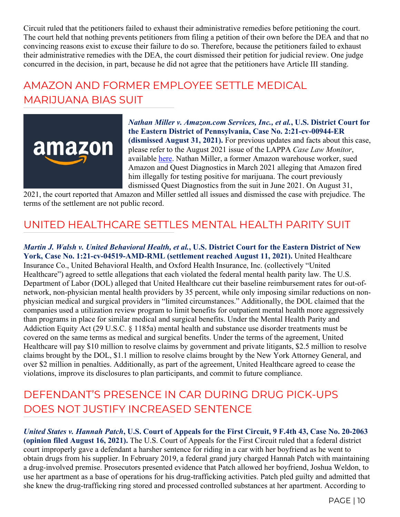Circuit ruled that the petitioners failed to exhaust their administrative remedies before petitioning the court. The court held that nothing prevents petitioners from filing a petition of their own before the DEA and that no convincing reasons exist to excuse their failure to do so. Therefore, because the petitioners failed to exhaust their administrative remedies with the DEA, the court dismissed their petition for judicial review. One judge concurred in the decision, in part, because he did not agree that the petitioners have Article III standing.

# AMAZON AND FORMER EMPLOYEE SETTLE MEDICAL MARIJUANA BIAS SUIT



*Nathan Miller v. Amazon.com Services, Inc., et al.***, U.S. District Court for the Eastern District of Pennsylvania, Case No. 2:21-cv-00944-ER (dismissed August 31, 2021).** For previous updates and facts about this case, please refer to the August 2021 issue of the LAPPA *Case Law Monitor*, available [here.](http://legislativeanalysis.org/wp-content/uploads/2021/08/August-2021-Case-Law-Monitor-FINAL.pdf) Nathan Miller, a former Amazon warehouse worker, sued Amazon and Quest Diagnostics in March 2021 alleging that Amazon fired him illegally for testing positive for marijuana. The court previously dismissed Quest Diagnostics from the suit in June 2021. On August 31,

2021, the court reported that Amazon and Miller settled all issues and dismissed the case with prejudice. The terms of the settlement are not public record.

#### UNITED HEALTHCARE SETTLES MENTAL HEALTH PARITY SUIT

*Martin J. Walsh v. United Behavioral Health, et al.***, U.S. District Court for the Eastern District of New York, Case No. 1:21-cv-04519-AMD-RML (settlement reached August 11, 2021).** United Healthcare Insurance Co., United Behavioral Health, and Oxford Health Insurance, Inc. (collectively "United Healthcare") agreed to settle allegations that each violated the federal mental health parity law. The U.S. Department of Labor (DOL) alleged that United Healthcare cut their baseline reimbursement rates for out-ofnetwork, non-physician mental health providers by 35 percent, while only imposing similar reductions on nonphysician medical and surgical providers in "limited circumstances." Additionally, the DOL claimed that the companies used a utilization review program to limit benefits for outpatient mental health more aggressively than programs in place for similar medical and surgical benefits. Under the Mental Health Parity and Addiction Equity Act (29 U.S.C. § 1185a) mental health and substance use disorder treatments must be covered on the same terms as medical and surgical benefits. Under the terms of the agreement, United Healthcare will pay \$10 million to resolve claims by government and private litigants, \$2.5 million to resolve claims brought by the DOL, \$1.1 million to resolve claims brought by the New York Attorney General, and over \$2 million in penalties. Additionally, as part of the agreement, United Healthcare agreed to cease the violations, improve its disclosures to plan participants, and commit to future compliance.

#### DEFENDANT'S PRESENCE IN CAR DURING DRUG PICK-UPS DOES NOT JUSTIFY INCREASED SENTENCE

*United States v. Hannah Patch***, U.S. Court of Appeals for the First Circuit, 9 F.4th 43, Case No. 20-2063 (opinion filed August 16, 2021).** The U.S. Court of Appeals for the First Circuit ruled that a federal district court improperly gave a defendant a harsher sentence for riding in a car with her boyfriend as he went to obtain drugs from his supplier. In February 2019, a federal grand jury charged Hannah Patch with maintaining a drug-involved premise. Prosecutors presented evidence that Patch allowed her boyfriend, Joshua Weldon, to use her apartment as a base of operations for his drug-trafficking activities. Patch pled guilty and admitted that she knew the drug-trafficking ring stored and processed controlled substances at her apartment. According to